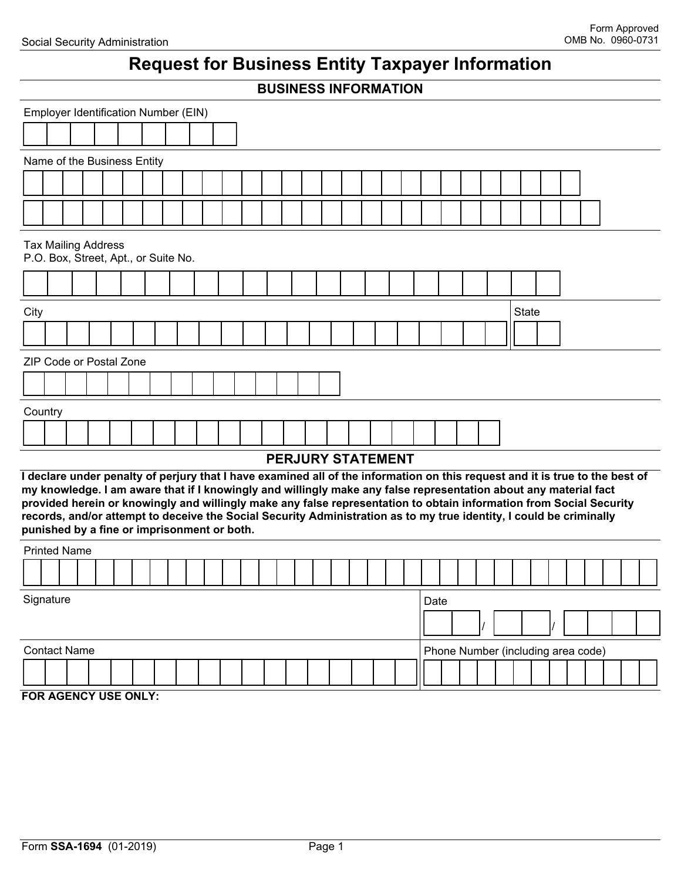# **Request for Business Entity Taxpayer Information**

|                             | <b>BUSINESS INFORMATION</b>                                                                                                                                                                                                                                                                                                                                                                                                                                                                                                                   |  |  |  |  |  |  |  |  |  |  |  |  |  |  |  |  |  |                                    |  |              |  |  |  |  |  |  |  |  |  |  |
|-----------------------------|-----------------------------------------------------------------------------------------------------------------------------------------------------------------------------------------------------------------------------------------------------------------------------------------------------------------------------------------------------------------------------------------------------------------------------------------------------------------------------------------------------------------------------------------------|--|--|--|--|--|--|--|--|--|--|--|--|--|--|--|--|--|------------------------------------|--|--------------|--|--|--|--|--|--|--|--|--|--|
|                             | Employer Identification Number (EIN)                                                                                                                                                                                                                                                                                                                                                                                                                                                                                                          |  |  |  |  |  |  |  |  |  |  |  |  |  |  |  |  |  |                                    |  |              |  |  |  |  |  |  |  |  |  |  |
|                             |                                                                                                                                                                                                                                                                                                                                                                                                                                                                                                                                               |  |  |  |  |  |  |  |  |  |  |  |  |  |  |  |  |  |                                    |  |              |  |  |  |  |  |  |  |  |  |  |
| Name of the Business Entity |                                                                                                                                                                                                                                                                                                                                                                                                                                                                                                                                               |  |  |  |  |  |  |  |  |  |  |  |  |  |  |  |  |  |                                    |  |              |  |  |  |  |  |  |  |  |  |  |
|                             |                                                                                                                                                                                                                                                                                                                                                                                                                                                                                                                                               |  |  |  |  |  |  |  |  |  |  |  |  |  |  |  |  |  |                                    |  |              |  |  |  |  |  |  |  |  |  |  |
|                             |                                                                                                                                                                                                                                                                                                                                                                                                                                                                                                                                               |  |  |  |  |  |  |  |  |  |  |  |  |  |  |  |  |  |                                    |  |              |  |  |  |  |  |  |  |  |  |  |
|                             | <b>Tax Mailing Address</b><br>P.O. Box, Street, Apt., or Suite No.                                                                                                                                                                                                                                                                                                                                                                                                                                                                            |  |  |  |  |  |  |  |  |  |  |  |  |  |  |  |  |  |                                    |  |              |  |  |  |  |  |  |  |  |  |  |
|                             |                                                                                                                                                                                                                                                                                                                                                                                                                                                                                                                                               |  |  |  |  |  |  |  |  |  |  |  |  |  |  |  |  |  |                                    |  |              |  |  |  |  |  |  |  |  |  |  |
| City                        |                                                                                                                                                                                                                                                                                                                                                                                                                                                                                                                                               |  |  |  |  |  |  |  |  |  |  |  |  |  |  |  |  |  |                                    |  | <b>State</b> |  |  |  |  |  |  |  |  |  |  |
|                             |                                                                                                                                                                                                                                                                                                                                                                                                                                                                                                                                               |  |  |  |  |  |  |  |  |  |  |  |  |  |  |  |  |  |                                    |  |              |  |  |  |  |  |  |  |  |  |  |
|                             | ZIP Code or Postal Zone                                                                                                                                                                                                                                                                                                                                                                                                                                                                                                                       |  |  |  |  |  |  |  |  |  |  |  |  |  |  |  |  |  |                                    |  |              |  |  |  |  |  |  |  |  |  |  |
|                             |                                                                                                                                                                                                                                                                                                                                                                                                                                                                                                                                               |  |  |  |  |  |  |  |  |  |  |  |  |  |  |  |  |  |                                    |  |              |  |  |  |  |  |  |  |  |  |  |
| Country                     |                                                                                                                                                                                                                                                                                                                                                                                                                                                                                                                                               |  |  |  |  |  |  |  |  |  |  |  |  |  |  |  |  |  |                                    |  |              |  |  |  |  |  |  |  |  |  |  |
|                             |                                                                                                                                                                                                                                                                                                                                                                                                                                                                                                                                               |  |  |  |  |  |  |  |  |  |  |  |  |  |  |  |  |  |                                    |  |              |  |  |  |  |  |  |  |  |  |  |
| <b>PERJURY STATEMENT</b>    |                                                                                                                                                                                                                                                                                                                                                                                                                                                                                                                                               |  |  |  |  |  |  |  |  |  |  |  |  |  |  |  |  |  |                                    |  |              |  |  |  |  |  |  |  |  |  |  |
|                             | I declare under penalty of perjury that I have examined all of the information on this request and it is true to the best of<br>my knowledge. I am aware that if I knowingly and willingly make any false representation about any material fact<br>provided herein or knowingly and willingly make any false representation to obtain information from Social Security<br>records, and/or attempt to deceive the Social Security Administration as to my true identity, I could be criminally<br>punished by a fine or imprisonment or both. |  |  |  |  |  |  |  |  |  |  |  |  |  |  |  |  |  |                                    |  |              |  |  |  |  |  |  |  |  |  |  |
|                             | <b>Printed Name</b>                                                                                                                                                                                                                                                                                                                                                                                                                                                                                                                           |  |  |  |  |  |  |  |  |  |  |  |  |  |  |  |  |  |                                    |  |              |  |  |  |  |  |  |  |  |  |  |
|                             |                                                                                                                                                                                                                                                                                                                                                                                                                                                                                                                                               |  |  |  |  |  |  |  |  |  |  |  |  |  |  |  |  |  |                                    |  |              |  |  |  |  |  |  |  |  |  |  |
| Signature                   |                                                                                                                                                                                                                                                                                                                                                                                                                                                                                                                                               |  |  |  |  |  |  |  |  |  |  |  |  |  |  |  |  |  | Date                               |  |              |  |  |  |  |  |  |  |  |  |  |
|                             |                                                                                                                                                                                                                                                                                                                                                                                                                                                                                                                                               |  |  |  |  |  |  |  |  |  |  |  |  |  |  |  |  |  |                                    |  |              |  |  |  |  |  |  |  |  |  |  |
|                             | <b>Contact Name</b>                                                                                                                                                                                                                                                                                                                                                                                                                                                                                                                           |  |  |  |  |  |  |  |  |  |  |  |  |  |  |  |  |  | Phone Number (including area code) |  |              |  |  |  |  |  |  |  |  |  |  |
|                             |                                                                                                                                                                                                                                                                                                                                                                                                                                                                                                                                               |  |  |  |  |  |  |  |  |  |  |  |  |  |  |  |  |  |                                    |  |              |  |  |  |  |  |  |  |  |  |  |
| FOR AGENCY USE ONLY:        |                                                                                                                                                                                                                                                                                                                                                                                                                                                                                                                                               |  |  |  |  |  |  |  |  |  |  |  |  |  |  |  |  |  |                                    |  |              |  |  |  |  |  |  |  |  |  |  |